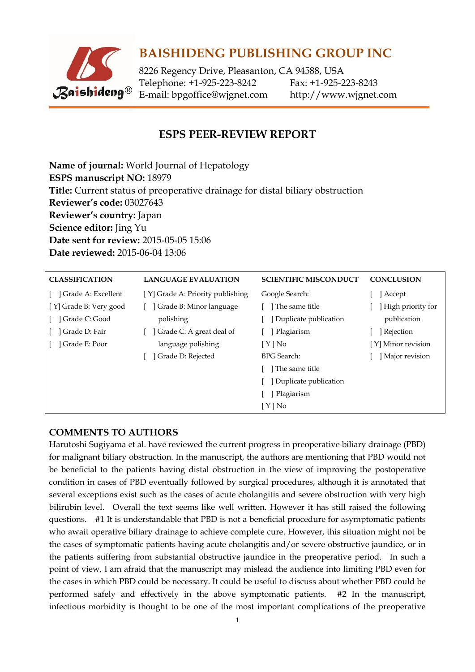

## **BAISHIDENG PUBLISHING GROUP INC**

8226 Regency Drive, Pleasanton, CA 94588, USA Telephone: +1-925-223-8242 Fax: +1-925-223-8243 E-mail: [bpgoffice@wjgnet.com](mailto:bpgoffice@wjgnet.com) http://www.wjgnet.com

## **ESPS PEER-REVIEW REPORT**

**Name of journal:** World Journal of Hepatology **ESPS manuscript NO:** 18979 **Title:** Current status of preoperative drainage for distal biliary obstruction **Reviewer's code:** 03027643 **Reviewer's country:** Japan **Science editor:** Jing Yu **Date sent for review:** 2015-05-05 15:06 **Date reviewed:** 2015-06-04 13:06

| <b>CLASSIFICATION</b>  | <b>LANGUAGE EVALUATION</b>       | <b>SCIENTIFIC MISCONDUCT</b> | <b>CONCLUSION</b>  |
|------------------------|----------------------------------|------------------------------|--------------------|
| Grade A: Excellent     | [Y] Grade A: Priority publishing | Google Search:               | Accept             |
| [Y] Grade B: Very good | Grade B: Minor language          | The same title               | High priority for  |
| Grade C: Good          | polishing                        | Duplicate publication        | publication        |
| ] Grade D: Fair        | Grade C: A great deal of         | Plagiarism                   | ] Rejection        |
| Grade E: Poor          | language polishing               | $[Y]$ No                     | [Y] Minor revision |
|                        | Grade D: Rejected                | BPG Search:                  | Major revision     |
|                        |                                  | The same title               |                    |
|                        |                                  | Duplicate publication        |                    |
|                        |                                  | Plagiarism                   |                    |
|                        |                                  | $[Y]$ No                     |                    |

## **COMMENTS TO AUTHORS**

Harutoshi Sugiyama et al. have reviewed the current progress in preoperative biliary drainage (PBD) for malignant biliary obstruction. In the manuscript, the authors are mentioning that PBD would not be beneficial to the patients having distal obstruction in the view of improving the postoperative condition in cases of PBD eventually followed by surgical procedures, although it is annotated that several exceptions exist such as the cases of acute cholangitis and severe obstruction with very high bilirubin level. Overall the text seems like well written. However it has still raised the following questions. #1 It is understandable that PBD is not a beneficial procedure for asymptomatic patients who await operative biliary drainage to achieve complete cure. However, this situation might not be the cases of symptomatic patients having acute cholangitis and/or severe obstructive jaundice, or in the patients suffering from substantial obstructive jaundice in the preoperative period. In such a point of view, I am afraid that the manuscript may mislead the audience into limiting PBD even for the cases in which PBD could be necessary. It could be useful to discuss about whether PBD could be performed safely and effectively in the above symptomatic patients. #2 In the manuscript, infectious morbidity is thought to be one of the most important complications of the preoperative